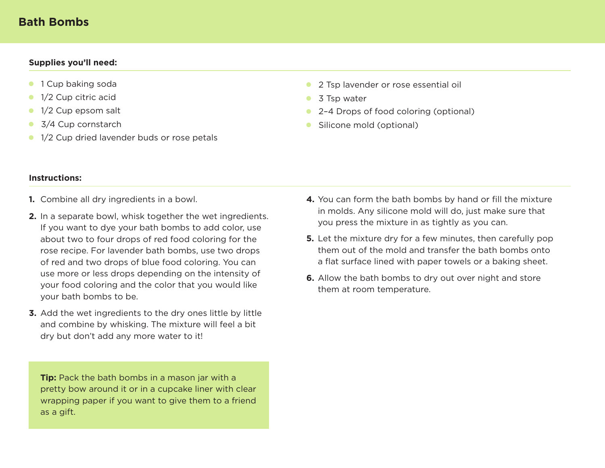## **Bath Bombs**

## **Supplies you'll need:**

- **1** Cup baking soda
- 1/2 Cup citric acid  $\bullet$
- 1/2 Cup epsom salt  $\bullet$
- 3/4 Cup cornstarch  $\bullet$
- <sup>1</sup>/2 Cup dried lavender buds or rose petals
- **2** Tsp lavender or rose essential oil
- 3 Tsp water
- 2-4 Drops of food coloring (optional)
- Silicone mold (optional)

## **Instructions:**

- Combine all dry ingredients in a bowl. **1.**
- In a separate bowl, whisk together the wet ingredients. **2.** If you want to dye your bath bombs to add color, use about two to four drops of red food coloring for the rose recipe. For lavender bath bombs, use two drops of red and two drops of blue food coloring. You can use more or less drops depending on the intensity of your food coloring and the color that you would like your bath bombs to be.
- Add the wet ingredients to the dry ones little by little **3.** and combine by whisking. The mixture will feel a bit dry but don't add any more water to it!

**Tip:** Pack the bath bombs in a mason jar with a pretty bow around it or in a cupcake liner with clear wrapping paper if you want to give them to a friend as a gift.

- **4.** You can form the bath bombs by hand or fill the mixture in molds. Any silicone mold will do, just make sure that you press the mixture in as tightly as you can.
- **5.** Let the mixture dry for a few minutes, then carefully pop them out of the mold and transfer the bath bombs onto a flat surface lined with paper towels or a baking sheet.
- **6.** Allow the bath bombs to dry out over night and store them at room temperature.